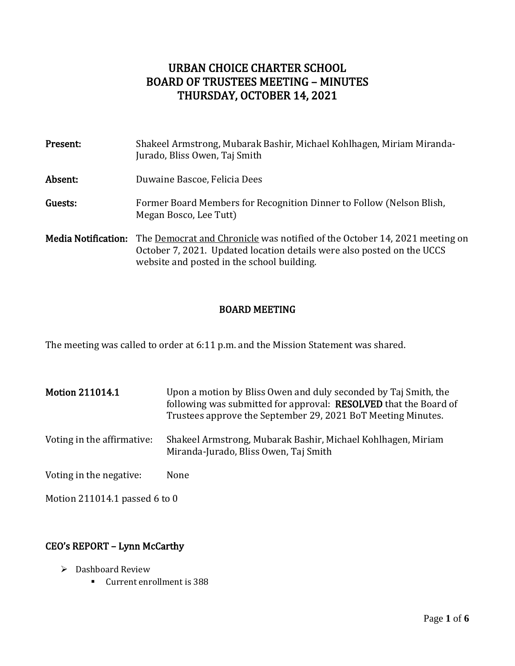# URBAN CHOICE CHARTER SCHOOL BOARD OF TRUSTEES MEETING – MINUTES THURSDAY, OCTOBER 14, 2021

| Present:            | Shakeel Armstrong, Mubarak Bashir, Michael Kohlhagen, Miriam Miranda-<br>Jurado, Bliss Owen, Taj Smith                                                                                                    |
|---------------------|-----------------------------------------------------------------------------------------------------------------------------------------------------------------------------------------------------------|
| Absent:             | Duwaine Bascoe, Felicia Dees                                                                                                                                                                              |
| Guests:             | Former Board Members for Recognition Dinner to Follow (Nelson Blish,<br>Megan Bosco, Lee Tutt)                                                                                                            |
| Media Notification: | The <u>Democrat and Chronicle</u> was notified of the October 14, 2021 meeting on<br>October 7, 2021. Updated location details were also posted on the UCCS<br>website and posted in the school building. |

### BOARD MEETING

The meeting was called to order at 6:11 p.m. and the Mission Statement was shared.

Motion 211014.1 Upon a motion by Bliss Owen and duly seconded by Taj Smith, the following was submitted for approval: RESOLVED that the Board of Trustees approve the September 29, 2021 BoT Meeting Minutes. Voting in the affirmative: Shakeel Armstrong, Mubarak Bashir, Michael Kohlhagen, Miriam Miranda-Jurado, Bliss Owen, Taj Smith Voting in the negative: None

Motion 211014.1 passed 6 to 0

# CEO's REPORT – Lynn McCarthy

- ➢ Dashboard Review
	- Current enrollment is 388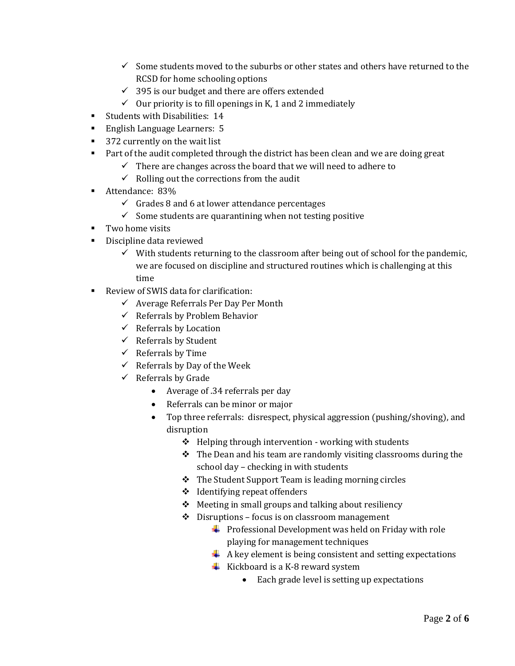- $\checkmark$  Some students moved to the suburbs or other states and others have returned to the RCSD for home schooling options
- $\checkmark$  395 is our budget and there are offers extended
- $\checkmark$  Our priority is to fill openings in K, 1 and 2 immediately
- **EXECUTE:** Students with Disabilities: 14
- English Language Learners: 5
- 372 currently on the wait list
- Part of the audit completed through the district has been clean and we are doing great
	- $\checkmark$  There are changes across the board that we will need to adhere to
	- $\checkmark$  Rolling out the corrections from the audit
- Attendance: 83%
	- $\checkmark$  Grades 8 and 6 at lower attendance percentages
	- $\checkmark$  Some students are quarantining when not testing positive
- Two home visits
- Discipline data reviewed
	- $\checkmark$  With students returning to the classroom after being out of school for the pandemic, we are focused on discipline and structured routines which is challenging at this time
- Review of SWIS data for clarification:
	- $\checkmark$  Average Referrals Per Day Per Month
	- $\checkmark$  Referrals by Problem Behavior
	- $\checkmark$  Referrals by Location
	- $\checkmark$  Referrals by Student
	- $\checkmark$  Referrals by Time
	- $\checkmark$  Referrals by Day of the Week
	- $\checkmark$  Referrals by Grade
		- Average of .34 referrals per day
		- Referrals can be minor or major
		- Top three referrals: disrespect, physical aggression (pushing/shoving), and disruption
			- ❖ Helping through intervention working with students
			- ❖ The Dean and his team are randomly visiting classrooms during the school day – checking in with students
			- ❖ The Student Support Team is leading morning circles
			- ❖ Identifying repeat offenders
			- ❖ Meeting in small groups and talking about resiliency
			- ❖ Disruptions focus is on classroom management
				- $\downarrow$  Professional Development was held on Friday with role playing for management techniques
				- $\overline{\text{4}}$  A key element is being consistent and setting expectations
				- $\overline{\phantom{a}}$  Kickboard is a K-8 reward system
					- Each grade level is setting up expectations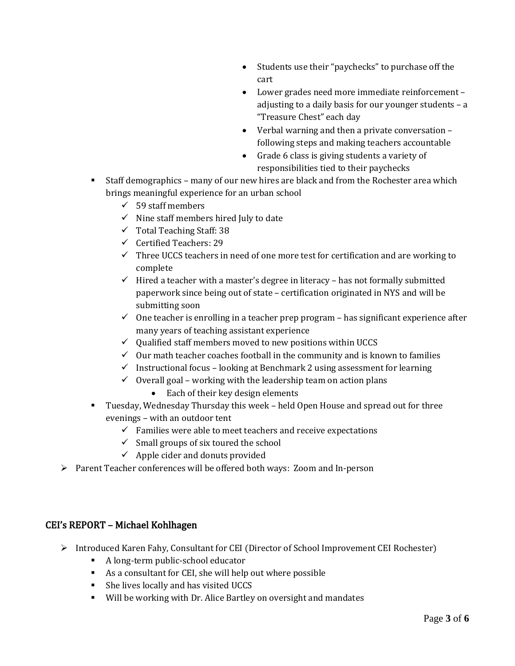- Students use their "paychecks" to purchase off the cart
- Lower grades need more immediate reinforcement adjusting to a daily basis for our younger students – a "Treasure Chest" each day
- Verbal warning and then a private conversation following steps and making teachers accountable
- Grade 6 class is giving students a variety of responsibilities tied to their paychecks
- Staff demographics many of our new hires are black and from the Rochester area which brings meaningful experience for an urban school
	- $\checkmark$  59 staff members
	- $\checkmark$  Nine staff members hired July to date
	- ✓ Total Teaching Staff: 38
	- ✓ Certified Teachers: 29
	- $\checkmark$  Three UCCS teachers in need of one more test for certification and are working to complete
	- $\checkmark$  Hired a teacher with a master's degree in literacy has not formally submitted paperwork since being out of state – certification originated in NYS and will be submitting soon
	- $\checkmark$  One teacher is enrolling in a teacher prep program has significant experience after many years of teaching assistant experience
	- $\checkmark$  Qualified staff members moved to new positions within UCCS
	- $\checkmark$  Our math teacher coaches football in the community and is known to families
	- $\checkmark$  Instructional focus looking at Benchmark 2 using assessment for learning
	- $\checkmark$  Overall goal working with the leadership team on action plans
		- Each of their key design elements
- Tuesday, Wednesday Thursday this week held Open House and spread out for three evenings – with an outdoor tent
	- $\checkmark$  Families were able to meet teachers and receive expectations
	- $\checkmark$  Small groups of six toured the school
	- $\checkmark$  Apple cider and donuts provided
- ➢ Parent Teacher conferences will be offered both ways: Zoom and In-person

# CEI's REPORT – Michael Kohlhagen

- ➢ Introduced Karen Fahy, Consultant for CEI (Director of School Improvement CEI Rochester)
	- A long-term public-school educator
	- As a consultant for CEI, she will help out where possible
	- She lives locally and has visited UCCS
	- Will be working with Dr. Alice Bartley on oversight and mandates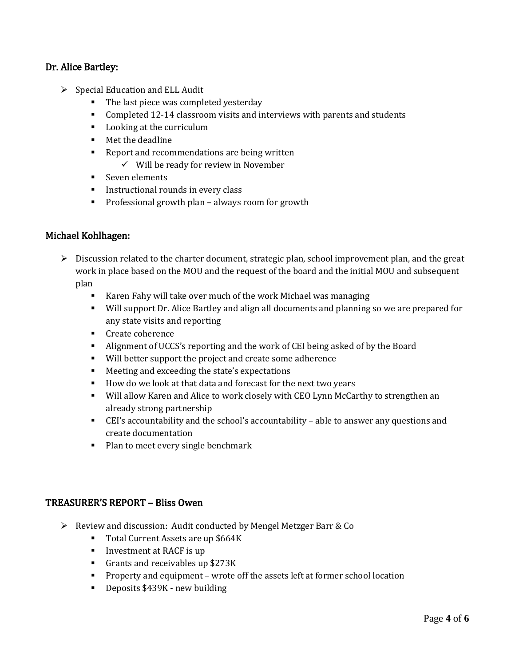## Dr. Alice Bartley:

- $\triangleright$  Special Education and ELL Audit
	- The last piece was completed vesterday
	- Completed 12-14 classroom visits and interviews with parents and students
	- Looking at the curriculum
	- Met the deadline
	- Report and recommendations are being written
		- ✓ Will be ready for review in November
	- Seven elements
	- **·** Instructional rounds in every class
	- Professional growth plan always room for growth

### Michael Kohlhagen:

- ➢ Discussion related to the charter document, strategic plan, school improvement plan, and the great work in place based on the MOU and the request of the board and the initial MOU and subsequent plan
	- Karen Fahy will take over much of the work Michael was managing
	- Will support Dr. Alice Bartley and align all documents and planning so we are prepared for any state visits and reporting
	- Create coherence
	- Alignment of UCCS's reporting and the work of CEI being asked of by the Board
	- Will better support the project and create some adherence
	- Meeting and exceeding the state's expectations
	- How do we look at that data and forecast for the next two years
	- Will allow Karen and Alice to work closely with CEO Lynn McCarthy to strengthen an already strong partnership
	- CEI's accountability and the school's accountability able to answer any questions and create documentation
	- Plan to meet every single benchmark

#### TREASURER'S REPORT – Bliss Owen

- ➢ Review and discussion: Audit conducted by Mengel Metzger Barr & Co
	- Total Current Assets are up \$664K
	- **•** Investment at RACF is up
	- Grants and receivables up \$273K
	- Property and equipment wrote off the assets left at former school location
	- Deposits \$439K new building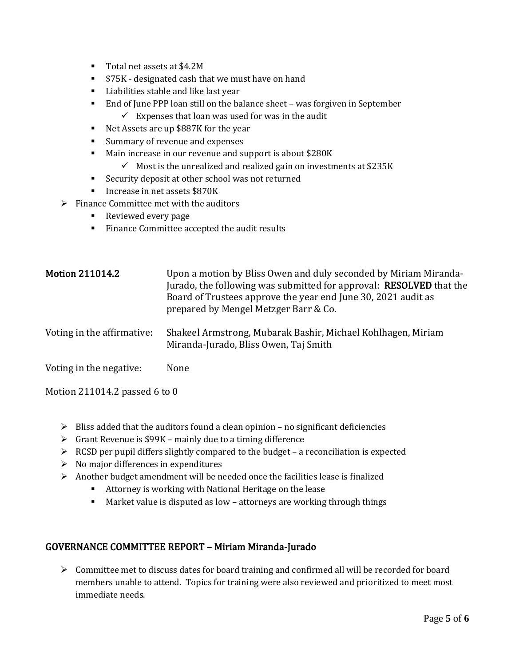- Total net assets at \$4.2M
- \$75K designated cash that we must have on hand
- Liabilities stable and like last year
- End of June PPP loan still on the balance sheet was forgiven in September
	- $\checkmark$  Expenses that loan was used for was in the audit
- Net Assets are up \$887K for the year
- Summary of revenue and expenses
- Main increase in our revenue and support is about \$280K
	- $\checkmark$  Most is the unrealized and realized gain on investments at \$235K
- Security deposit at other school was not returned
- Increase in net assets \$870K
- $\triangleright$  Finance Committee met with the auditors
	- Reviewed every page
	- Finance Committee accepted the audit results

| <b>Motion 211014.2</b>     | Upon a motion by Bliss Owen and duly seconded by Miriam Miranda-<br>Jurado, the following was submitted for approval: RESOLVED that the<br>Board of Trustees approve the year end June 30, 2021 audit as<br>prepared by Mengel Metzger Barr & Co. |
|----------------------------|---------------------------------------------------------------------------------------------------------------------------------------------------------------------------------------------------------------------------------------------------|
| Voting in the affirmative: | Shakeel Armstrong, Mubarak Bashir, Michael Kohlhagen, Miriam<br>Miranda-Jurado, Bliss Owen, Taj Smith                                                                                                                                             |
| Voting in the negative:    | None                                                                                                                                                                                                                                              |

Motion 211014.2 passed 6 to 0

- $\triangleright$  Bliss added that the auditors found a clean opinion no significant deficiencies
- $\triangleright$  Grant Revenue is \$99K mainly due to a timing difference
- $\triangleright$  RCSD per pupil differs slightly compared to the budget a reconciliation is expected
- $\triangleright$  No major differences in expenditures
- $\triangleright$  Another budget amendment will be needed once the facilities lease is finalized
	- Attorney is working with National Heritage on the lease
	- Market value is disputed as low attorneys are working through things

### GOVERNANCE COMMITTEE REPORT – Miriam Miranda-Jurado

 $\triangleright$  Committee met to discuss dates for board training and confirmed all will be recorded for board members unable to attend. Topics for training were also reviewed and prioritized to meet most immediate needs.